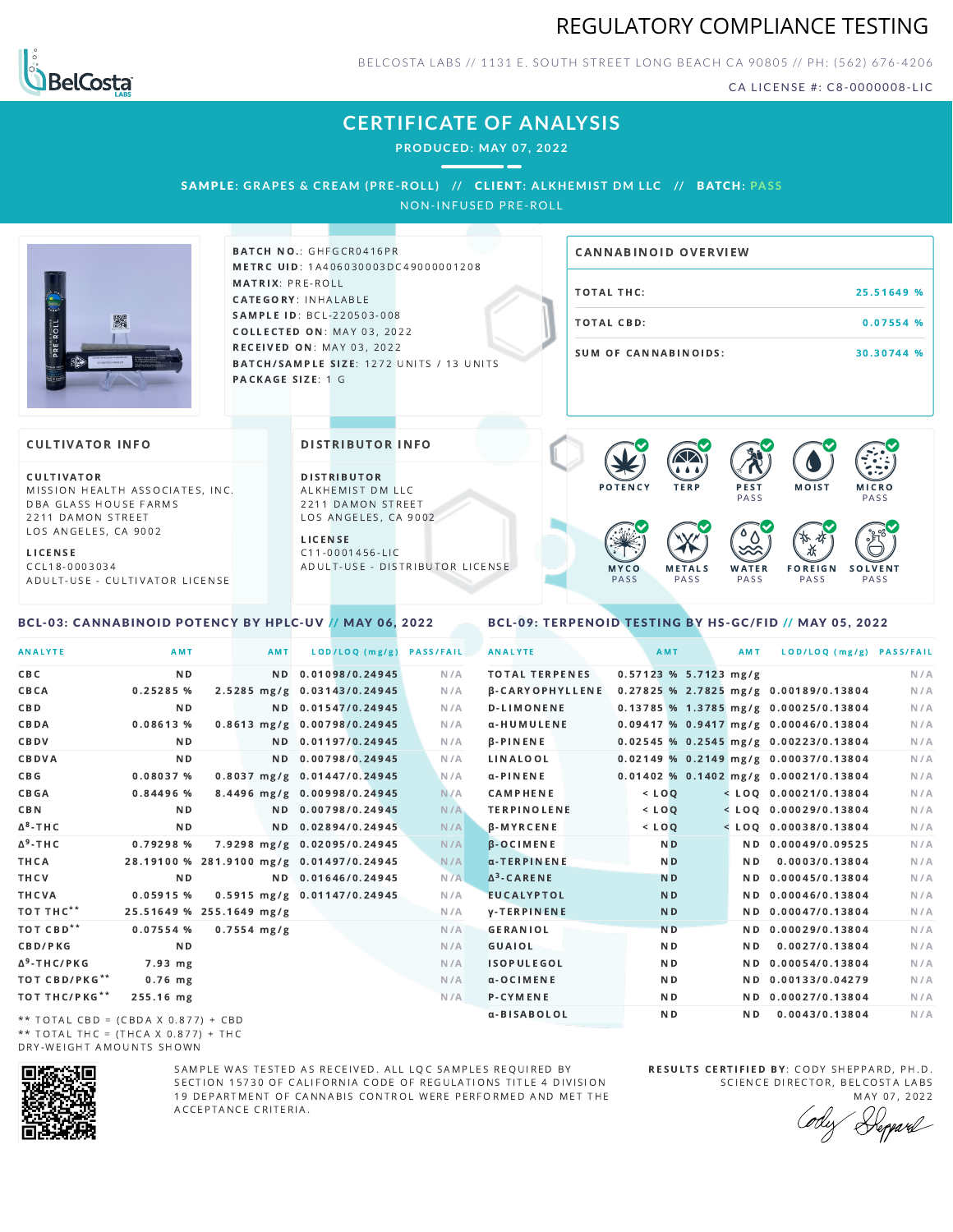



BELCOSTA LABS // 1131 E. SOUTH STREET LONG BEACH C A 90805 // PH: (562) 676-4206

CA LICENSE #: C8-0000008-LIC

## **CERTIFICATE OF ANALYSIS**

**PRODUCED: MAY 07, 2022**

## SAMPLE: GRAPES & CREAM (PRE-ROLL) // CLIENT: ALKHEMIST DM LLC // BATCH: PASS

NON-INFUSED PRE-ROLL



BATCH NO.: GHFGCR0416PR METRC UID: 1A406030003DC49000001208 MATRIX: PRE-ROLL CATEGORY: INHALABLE SAMPLE ID: BCL-220503-008 COLLECTED ON: MAY 03, 2022 **RECEIVED ON: MAY 03, 2022** BATCH/SAMPLE SIZE: 1272 UNITS / 13 UNITS PACKAGE SIZE: 1 G

# TOTAL THC: 25.51649 % TOTAL CBD: 0.07554 % SUM OF CANNABINOIDS: 30.30744 % CANNABINOID OVERVIEW

### **CULTIVATOR INFO**

CULTIVATOR MISSION HEALTH ASSOCIATES, INC. DBA GLASS HOUSE FARMS 2211 DAMON STREET LOS ANGELES, CA 9002

L I C E N S E C C L 1 8 - 0 0 0 3 0 3 4 A D U L T - U S E - C U L T I V A T O R L I CENSE

<span id="page-0-0"></span>BCL-03: CANNABINOID POTENCY BY HPLC-UV // MAY 06, 2022

DISTRIBUTOR INFO

D I STRIBUTOR ALKHEMIST DM LLC 2211 DAMON STREET LOS ANGELES, CA 9002 L I C E N S E

C 1 1 - 0 0 0 1 4 5 6 - L I C A D U L T - U S E - D I STRI B U T O R LICENSE



<span id="page-0-1"></span>BCL-09: TERPENOID TESTING BY HS-GC/FID // MAY 05, 2022

| <b>ANALYTE</b>                      | AMT                                      | AMT                   | LOD/LOQ (mg/g)              | <b>PASS/FAIL</b> | <b>ANALYTE</b>         | AMT            |                         | AMT | LOD/LOQ (mg/g) PASS/FAIL                |     |
|-------------------------------------|------------------------------------------|-----------------------|-----------------------------|------------------|------------------------|----------------|-------------------------|-----|-----------------------------------------|-----|
| CBC                                 | N <sub>D</sub>                           |                       | ND 0.01098/0.24945          | N/A              | <b>TOTAL TERPENES</b>  |                | $0.57123$ % 5.7123 mg/g |     |                                         | N/A |
| CBCA                                | 0.25285%                                 |                       | 2.5285 mg/g 0.03143/0.24945 | N/A              | <b>B-CARYOPHYLLENE</b> |                |                         |     | 0.27825 % 2.7825 mg/g 0.00189/0.13804   | N/A |
| C B D                               | N <sub>D</sub>                           |                       | ND 0.01547/0.24945          | N/A              | <b>D-LIMONENE</b>      |                |                         |     | 0.13785 % 1.3785 mg/g 0.00025/0.13804   | N/A |
| CBDA                                | 0.08613 %                                |                       | 0.8613 mg/g 0.00798/0.24945 | N/A              | α-HUMULENE             |                |                         |     | $0.09417$ % 0.9417 mg/g 0.00046/0.13804 | N/A |
| CBDV                                | ND.                                      |                       | ND 0.01197/0.24945          | N/A              | <b>B-PINENE</b>        |                |                         |     | 0.02545 % 0.2545 mg/g 0.00223/0.13804   | N/A |
| CBDVA                               | N <sub>D</sub>                           |                       | ND 0.00798/0.24945          | N/A              | LINALOOL               |                |                         |     | $0.02149$ % 0.2149 mg/g 0.00037/0.13804 | N/A |
| C B G                               | 0.08037%                                 |                       | 0.8037 mg/g 0.01447/0.24945 | N/A              | $\alpha$ -PINENE       |                |                         |     | 0.01402 % 0.1402 mg/g 0.00021/0.13804   | N/A |
| CBGA                                | 0.84496%                                 |                       | 8.4496 mg/g 0.00998/0.24945 | N/A              | <b>CAMPHENE</b>        | $<$ $LOO$      |                         |     | $<$ LOO 0.00021/0.13804                 | N/A |
| C B N                               | ND.                                      |                       | ND 0.00798/0.24945          | N/A              | <b>TERPINOLENE</b>     | $<$ LOO        |                         |     | $<$ LOQ 0.00029/0.13804                 | N/A |
| ∆ <sup>8</sup> -ТНС                 | N D                                      |                       | ND 0.02894/0.24945          | N/A              | <b>β-MYRCENE</b>       | $<$ LOQ        |                         |     | $<$ LOQ 0.00038/0.13804                 | N/A |
| Δ <sup>9</sup> -ΤΗ C                | 0.79298%                                 |                       | 7.9298 mg/g 0.02095/0.24945 | N/A              | B-OCIMENE              | N <sub>D</sub> |                         |     | ND 0.00049/0.09525                      | N/A |
| THCA                                | 28.19100 % 281.9100 mg/g 0.01497/0.24945 |                       |                             | N/A              | α-TERPINENE            | N <sub>D</sub> |                         | N D | 0.0003/0.13804                          | N/A |
| THCV                                | N <sub>D</sub>                           |                       | ND 0.01646/0.24945          | N/A              | $\Delta^3$ -CARENE     | <b>ND</b>      |                         |     | ND 0.00045/0.13804                      | N/A |
| THCVA                               | $0.05915$ %                              |                       | 0.5915 mg/g 0.01147/0.24945 | N/A              | <b>EUCALYPTOL</b>      | <b>ND</b>      |                         |     | ND 0.00046/0.13804                      | N/A |
| тот тнс**                           | 25.51649 % 255.1649 mg/g                 |                       |                             | N/A              | <b>y-TERPINENE</b>     | N <sub>D</sub> |                         |     | ND 0.00047/0.13804                      | N/A |
| ТОТ СВD**                           | $0.07554$ %                              | $0.7554 \text{ mg/g}$ |                             | N/A              | <b>GERANIOL</b>        | <b>ND</b>      |                         |     | ND 0.00029/0.13804                      | N/A |
| <b>CBD/PKG</b>                      | N <sub>D</sub>                           |                       |                             | N/A              | GUAIOL                 | N <sub>D</sub> |                         | ND. | 0.0027/0.13804                          | N/A |
| Δ <sup>9</sup> -THC/PKG             | 7.93 mg                                  |                       |                             | N/A              | <b>ISOPULEGOL</b>      | ND.            |                         |     | ND 0.00054/0.13804                      | N/A |
| ТОТ СВD/РКG**                       | $0.76$ mg                                |                       |                             | N/A              | a-OCIMENE              | ND.            |                         |     | ND 0.00133/0.04279                      | N/A |
| ТОТ ТНС/РКG**                       | 255.16 mg                                |                       |                             | N/A              | P-CYMENE               | N D            |                         |     | ND 0.00027/0.13804                      | N/A |
| ** TOTAL CRD - (CRDA V A 977) + CRD |                                          |                       |                             |                  | α-BISABOLOL            | N <sub>D</sub> |                         | ND. | 0.0043/0.13804                          | N/A |

\*\* TOTAL CBD = (CBDA X 0.877) + CBD \*\* TOTAL THC = (THCA X  $0.877$ ) + THC DRY-WEIGHT AMOUNTS SHOWN



SAMPLE WAS TESTED AS RECEIVED. ALL LOC SAMPLES REQUIRED BY SECTION 15730 OF CALIFORNIA CODE OF REGULATIONS TITLE 4 DIVISION 19 DEPARTMENT OF CANNABIS CONTROL WERE PERFORMED AND MET THE A C C E P T A N C E C R I T E R I A.

RESULTS CERTIFIED BY: CODY SHEPPARD, PH.D. SCIENCE DIRECTOR, BELCOSTA LABS MAY 07, 2022

Keppard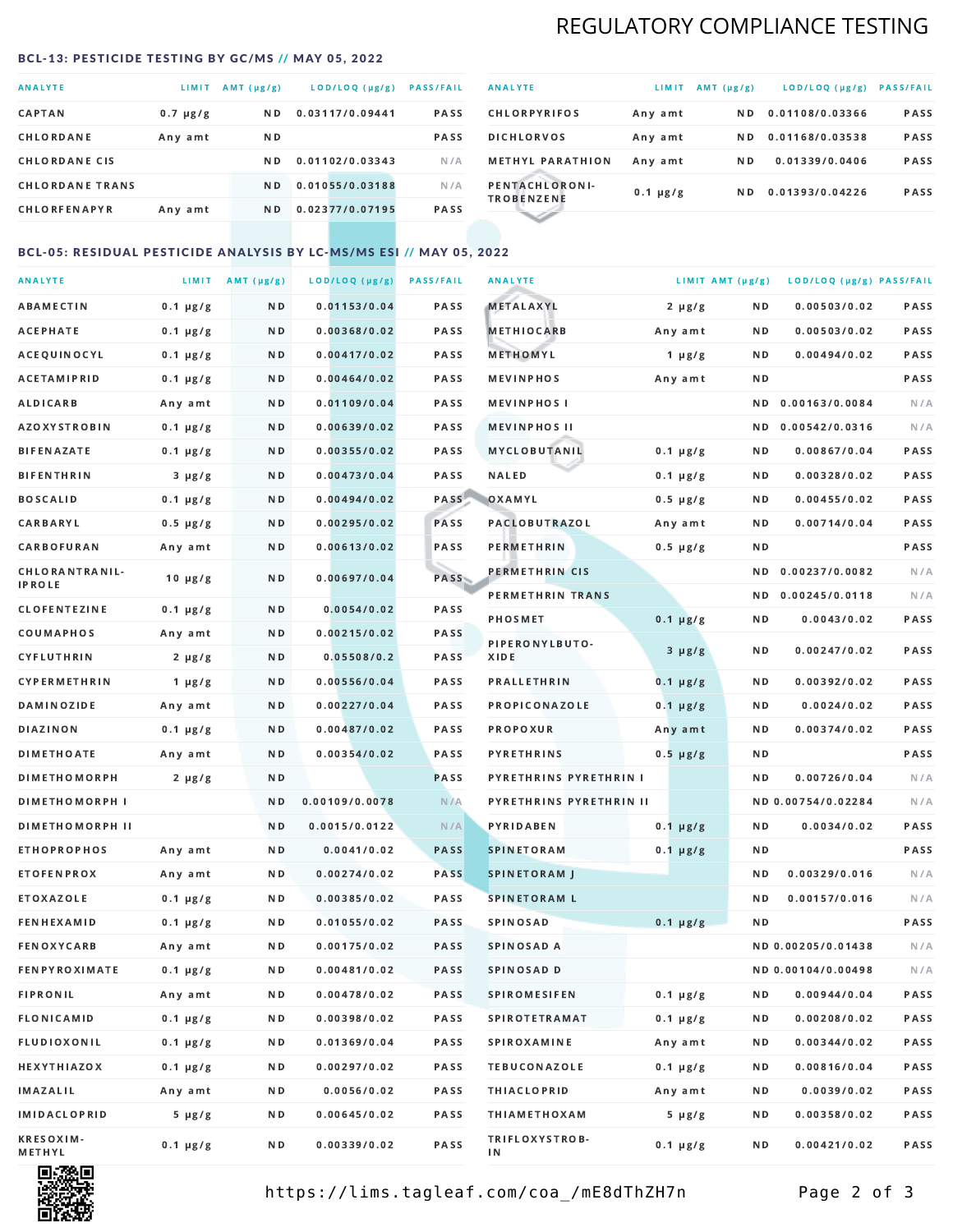## REGULATORY COMPLIANCE TESTING

#### <span id="page-1-0"></span>BCL-13: PESTICIDE TESTING BY GC/MS // MAY 05, 2022

| <b>ANALYTE</b>         | LIMIT         | $AMT(\mu g/g)$ | LOD/LOQ (µg/g)  | <b>PASS/FAIL</b> |
|------------------------|---------------|----------------|-----------------|------------------|
| <b>CAPTAN</b>          | $0.7 \mu g/g$ | ND.            | 0.03117/0.09441 | <b>PASS</b>      |
| CHLORDANE              | Any amt       | ND.            |                 | <b>PASS</b>      |
| <b>CHLORDANE CIS</b>   |               | ND.            | 0.01102/0.03343 | N/A              |
| <b>CHLORDANE TRANS</b> |               | N <sub>D</sub> | 0.01055/0.03188 | N/A              |
| <b>CHLORFENAPYR</b>    | Any amt       | N D            | 0.02377/0.07195 | <b>PASS</b>      |

| <b>ANALYTE</b>                      | LIMIT         | $AMT(\mu g/g)$ | LOD/LOQ (µg/g)  | <b>PASS/FAIL</b> |
|-------------------------------------|---------------|----------------|-----------------|------------------|
| <b>CHLORPYRIFOS</b>                 | Any amt       | N D            | 0.01108/0.03366 | <b>PASS</b>      |
| <b>DICHLORVOS</b>                   | Any amt       | N D            | 0.01168/0.03538 | PASS             |
| <b>METHYL PARATHION</b>             | Any amt       | N D            | 0.01339/0.0406  | <b>PASS</b>      |
| PENTACHLORONI-<br><b>TROBENZENE</b> | $0.1 \mu g/g$ | ND.            | 0.01393/0.04226 | <b>PASS</b>      |
|                                     |               |                |                 |                  |

## BCL-05: RESIDUAL PESTICIDE ANALYSIS BY LC-MS/MS ESI // MAY 05, 2022

| <b>ANALYTE</b>             |               | LIMIT AMT $(\mu g/g)$ | LOD/LOQ (µg/g) | <b>PASS/FAIL</b> | <b>ANALYTE</b>          | LIMIT AMT (µg/g) |     | LOD/LOQ (µg/g) PASS/FAIL |      |
|----------------------------|---------------|-----------------------|----------------|------------------|-------------------------|------------------|-----|--------------------------|------|
| ABAMECTIN                  | $0.1 \mu g/g$ | N D                   | 0.01153/0.04   | PASS             | <b>METALAXYL</b>        | $2 \mu g/g$      | N D | 0.00503/0.02             | PASS |
| <b>ACEPHATE</b>            | $0.1 \mu g/g$ | N D                   | 0.00368/0.02   | PASS             | <b>METHIOCARB</b>       | Any amt          | N D | 0.00503/0.02             | PASS |
| ACEQUINOCYL                | $0.1 \mu g/g$ | N D                   | 0.00417/0.02   | PASS             | METHOMYL                | $1 \mu g/g$      | N D | 0.00494/0.02             | PASS |
| ACETAMIPRID                | $0.1 \mu g/g$ | N D                   | 0.00464/0.02   | PASS             | <b>MEVINPHOS</b>        | Any amt          | N D |                          | PASS |
| <b>ALDICARB</b>            | Any amt       | N D                   | 0.01109/0.04   | <b>PASS</b>      | <b>MEVINPHOSI</b>       |                  | N D | 0.00163/0.0084           | N/A  |
| AZOXYSTROBIN               | $0.1 \mu g/g$ | N D                   | 0.00639/0.02   | PASS             | <b>MEVINPHOS II</b>     |                  | N D | 0.00542/0.0316           | N/A  |
| <b>BIFENAZATE</b>          | $0.1 \mu g/g$ | N D                   | 0.00355/0.02   | PASS             | <b>MYCLOBUTANIL</b>     | $0.1 \mu g/g$    | N D | 0.00867/0.04             | PASS |
| <b>BIFENTHRIN</b>          | $3 \mu g/g$   | N D                   | 0.00473/0.04   | PASS             | <b>NALED</b>            | $0.1 \mu g/g$    | N D | 0.00328/0.02             | PASS |
| <b>BOSCALID</b>            | $0.1 \mu g/g$ | N D                   | 0.00494/0.02   | PASS             | OXAMYL                  | $0.5 \mu g/g$    | N D | 0.00455/0.02             | PASS |
| CARBARYL                   | $0.5 \mu g/g$ | N D                   | 0.00295/0.02   | PASS             | PACLOBUTRAZOL           | Any amt          | N D | 0.00714/0.04             | PASS |
| CARBOFURAN                 | Any amt       | N D                   | 0.00613/0.02   | PASS             | PERMETHRIN              | $0.5 \mu g/g$    | N D |                          | PASS |
| CHLORANTRANIL-             | $10 \mu g/g$  | N D                   | 0.00697/0.04   | PASS             | PERMETHRIN CIS          |                  | N D | 0.00237/0.0082           | N/A  |
| IPROLE                     |               |                       |                |                  | PERMETHRIN TRANS        |                  |     | ND 0.00245/0.0118        | N/A  |
| <b>CLOFENTEZINE</b>        | $0.1 \mu g/g$ | ND.                   | 0.0054/0.02    | PASS             | <b>PHOSMET</b>          | $0.1 \mu g/g$    | N D | 0.0043/0.02              | PASS |
| COUMAPHOS                  | Any amt       | N D                   | 0.00215/0.02   | <b>PASS</b>      | PIPERONYLBUTO-          | $3 \mu g/g$      | N D | 0.00247/0.02             | PASS |
| CYFLUTHRIN                 | $2 \mu g/g$   | ND.                   | 0.05508/0.2    | PASS             | XIDE                    |                  |     |                          |      |
| CYPERMETHRIN               | $1 \mu g/g$   | N D                   | 0.00556/0.04   | PASS             | <b>PRALLETHRIN</b>      | $0.1 \mu g/g$    | N D | 0.00392/0.02             | PASS |
| <b>DAMINOZIDE</b>          | Any amt       | N D                   | 0.00227/0.04   | PASS             | PROPICONAZOLE           | $0.1 \mu g/g$    | N D | 0.0024/0.02              | PASS |
| <b>DIAZINON</b>            | $0.1 \mu g/g$ | N D                   | 0.00487/0.02   | <b>PASS</b>      | PROPOXUR                | Any amt          | N D | 0.00374/0.02             | PASS |
| <b>DIMETHOATE</b>          | Any amt       | N D                   | 0.00354/0.02   | PASS             | <b>PYRETHRINS</b>       | $0.5 \mu g/g$    | N D |                          | PASS |
| <b>DIMETHOMORPH</b>        | $2 \mu g/g$   | N D                   |                | PASS             | PYRETHRINS PYRETHRIN I  |                  | ND. | 0.00726/0.04             | N/A  |
| <b>DIMETHOMORPH I</b>      |               | N D                   | 0.00109/0.0078 | N/A              | PYRETHRINS PYRETHRIN II |                  |     | ND 0.00754/0.02284       | N/A  |
| <b>DIMETHOMORPH II</b>     |               | N D                   | 0.0015/0.0122  | N/A              | <b>PYRIDABEN</b>        | $0.1 \mu g/g$    | N D | 0.0034/0.02              | PASS |
| <b>ETHOPROPHOS</b>         | Any amt       | N D                   | 0.0041/0.02    | <b>PASS</b>      | <b>SPINETORAM</b>       | $0.1 \mu g/g$    | N D |                          | PASS |
| <b>ETOFENPROX</b>          | Any amt       | N D                   | 0.00274/0.02   | <b>PASS</b>      | <b>SPINETORAM J</b>     |                  | N D | 0.00329/0.016            | N/A  |
| ETOXAZOLE                  | $0.1 \mu g/g$ | N D                   | 0.00385/0.02   | <b>PASS</b>      | <b>SPINETORAM L</b>     |                  | ND  | 0.00157/0.016            | N/A  |
| <b>FENHEXAMID</b>          | $0.1 \mu g/g$ | N D                   | 0.01055/0.02   | <b>PASS</b>      | SPINOSAD                | $0.1 \mu g/g$    | N D |                          | PASS |
| <b>FENOXYCARB</b>          | Any amt       | N D                   | 0.00175/0.02   | PASS             | SPINOSAD A              |                  |     | ND 0.00205/0.01438       | N/A  |
| <b>FENPYROXIMATE</b>       | $0.1 \mu g/g$ | N D                   | 0.00481/0.02   | PASS             | SPINOSAD D              |                  |     | ND 0.00104/0.00498       | N/A  |
| <b>FIPRONIL</b>            | Any amt       | N D                   | 0.00478/0.02   | PASS             | <b>SPIROMESIFEN</b>     | $0.1 \mu g/g$    | N D | 0.00944/0.04             | PASS |
| <b>FLONICAMID</b>          | $0.1 \mu g/g$ | N D                   | 0.00398/0.02   | PASS             | <b>SPIROTETRAMAT</b>    | $0.1 \mu g/g$    | N D | 0.00208/0.02             | PASS |
| FLUDIOXONIL                | $0.1 \mu g/g$ | N D                   | 0.01369/0.04   | PASS             | <b>SPIROXAMINE</b>      | Any amt          | N D | 0.00344/0.02             | PASS |
| HEXYTHIAZOX                | $0.1 \mu g/g$ | N D                   | 0.00297/0.02   | PASS             | <b>TEBUCONAZOLE</b>     | $0.1 \mu g/g$    | N D | 0.00816/0.04             | PASS |
| IMAZALIL                   | Any amt       | N D                   | 0.0056/0.02    | PASS             | <b>THIACLOPRID</b>      | Any amt          | N D | 0.0039/0.02              | PASS |
| IMIDACLOPRID               | $5 \mu g/g$   | N D                   | 0.00645/0.02   | PASS             | <b>THIAMETHOXAM</b>     | $5 \mu g/g$      | N D | 0.00358/0.02             | PASS |
| <b>KRESOXIM-</b><br>METHYL | $0.1 \mu g/g$ | N D                   | 0.00339/0.02   | PASS             | TRIFLOXYSTROB-<br>ΙN    | $0.1 \mu g/g$    | N D | 0.00421/0.02             | PASS |